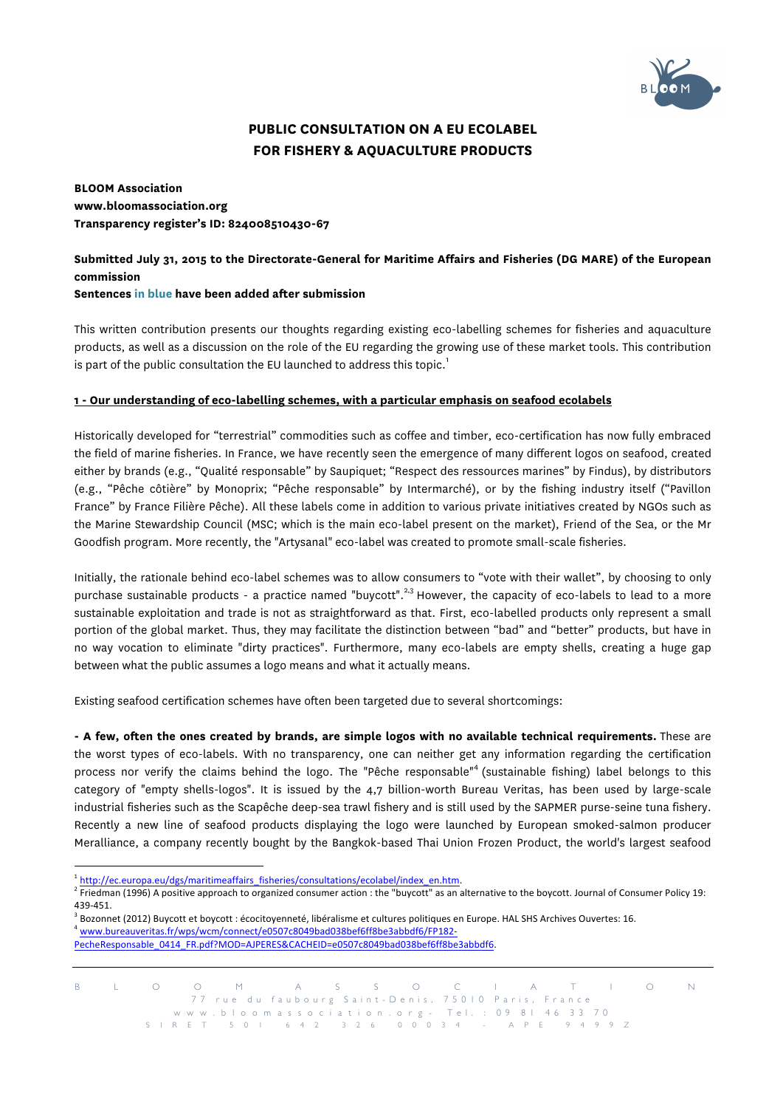

# **PUBLIC CONSULTATION ON A EU ECOLABEL FOR FISHERY & AQUACULTURE PRODUCTS**

**BLOOM Association www.bloomassociation.org Transparency register's ID: 824008510430-67**

### **Submitted July 31, 2015 to the Directorate-General for Maritime Affairs and Fisheries (DG MARE) of the European commission Sentences in blue have been added after submission**

This written contribution presents our thoughts regarding existing eco-labelling schemes for fisheries and aquaculture products, as well as a discussion on the role of the EU regarding the growing use of these market tools. This contribution is part of the public consultation the EU launched to address this topic.<sup>1</sup>

## **1 - Our understanding of eco-labelling schemes, with a particular emphasis on seafood ecolabels**

Historically developed for "terrestrial" commodities such as coffee and timber, eco-certification has now fully embraced the field of marine fisheries. In France, we have recently seen the emergence of many different logos on seafood, created either by brands (e.g., "Qualité responsable" by Saupiquet; "Respect des ressources marines" by Findus), by distributors (e.g., "Pêche côtière" by Monoprix; "Pêche responsable" by Intermarché), or by the fishing industry itself ("Pavillon France" by France Filière Pêche). All these labels come in addition to various private initiatives created by NGOs such as the Marine Stewardship Council (MSC; which is the main eco-label present on the market), Friend of the Sea, or the Mr Goodfish program. More recently, the "Artysanal" eco-label was created to promote small-scale fisheries.

Initially, the rationale behind eco-label schemes was to allow consumers to "vote with their wallet", by choosing to only purchase sustainable products - a practice named "buycott".<sup>2,3</sup> However, the capacity of eco-labels to lead to a more sustainable exploitation and trade is not as straightforward as that. First, eco-labelled products only represent a small portion of the global market. Thus, they may facilitate the distinction between "bad" and "better" products, but have in no way vocation to eliminate "dirty practices". Furthermore, many eco-labels are empty shells, creating a huge gap between what the public assumes a logo means and what it actually means.

Existing seafood certification schemes have often been targeted due to several shortcomings:

**- A few, often the ones created by brands, are simple logos with no available technical requirements.** These are the worst types of eco-labels. With no transparency, one can neither get any information regarding the certification process nor verify the claims behind the logo. The "Pêche responsable"<sup>4</sup> (sustainable fishing) label belongs to this category of "empty shells-logos". It is issued by the 4,7 billion-worth Bureau Veritas, has been used by large-scale industrial fisheries such as the Scapêche deep-sea trawl fishery and is still used by the SAPMER purse-seine tuna fishery. Recently a new line of seafood products displaying the logo were launched by European smoked-salmon producer Meralliance, a company recently bought by the Bangkok-based Thai Union Frozen Product, the world's largest seafood

l

<sup>1</sup> http://ec.europa.eu/dgs/maritimeaffairs\_fisheries/consultations/ecolabel/index\_en.htm.

<sup>&</sup>lt;sup>2</sup> Friedman (1996) A positive approach to organized consumer action : the "buycott" as an alternative to the boycott. Journal of Consumer Policy 19: 439-451.

Bozonnet (2012) Buycott et boycott : écocitoyenneté, libéralisme et cultures politiques en Europe. HAL SHS Archives Ouvertes: 16. <sup>4</sup> www.bureauveritas.fr/wps/wcm/connect/e0507c8049bad038bef6ff8be3abbdf6/FP182-

PecheResponsable\_0414\_FR.pdf?MOD=AJPERES&CACHEID=e0507c8049bad038bef6ff8be3abbdf6.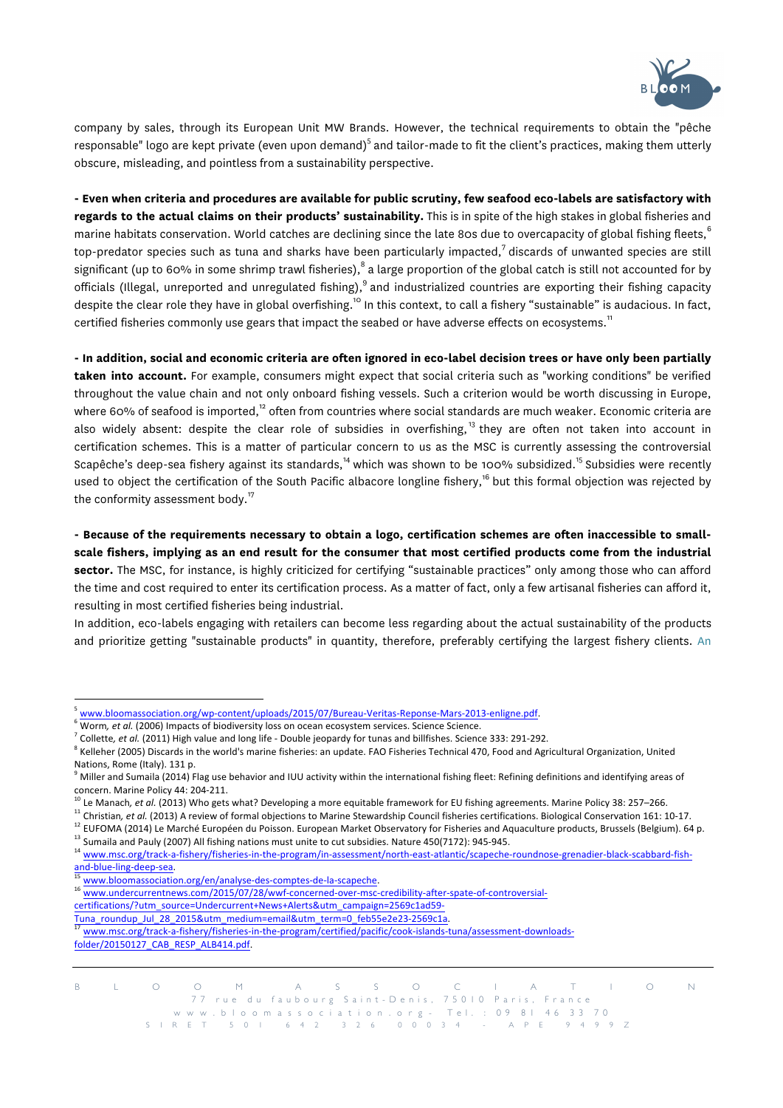

company by sales, through its European Unit MW Brands. However, the technical requirements to obtain the "pêche responsable" logo are kept private (even upon demand)<sup>5</sup> and tailor-made to fit the client's practices, making them utterly obscure, misleading, and pointless from a sustainability perspective.

**- Even when criteria and procedures are available for public scrutiny, few seafood eco-labels are satisfactory with regards to the actual claims on their products' sustainability.** This is in spite of the high stakes in global fisheries and marine habitats conservation. World catches are declining since the late 80s due to overcapacity of global fishing fleets,<sup>6</sup> top-predator species such as tuna and sharks have been particularly impacted, $^7$  discards of unwanted species are still significant (up to 60% in some shrimp trawl fisheries),  $\degree$  a large proportion of the global catch is still not accounted for by officials (Illegal, unreported and unregulated fishing),<sup>9</sup> and industrialized countries are exporting their fishing capacity despite the clear role they have in global overfishing.<sup>10</sup> In this context, to call a fishery "sustainable" is audacious. In fact, certified fisheries commonly use gears that impact the seabed or have adverse effects on ecosystems.<sup>11</sup>

**- In addition, social and economic criteria are often ignored in eco-label decision trees or have only been partially**  taken into account. For example, consumers might expect that social criteria such as "working conditions" be verified throughout the value chain and not only onboard fishing vessels. Such a criterion would be worth discussing in Europe, where 60% of seafood is imported, $12$  often from countries where social standards are much weaker. Economic criteria are also widely absent: despite the clear role of subsidies in overfishing,<sup>13</sup> they are often not taken into account in certification schemes. This is a matter of particular concern to us as the MSC is currently assessing the controversial Scapêche's deep-sea fishery against its standards,<sup>14</sup> which was shown to be 100% subsidized.<sup>15</sup> Subsidies were recently used to object the certification of the South Pacific albacore longline fishery,<sup>16</sup> but this formal objection was rejected by the conformity assessment body. $17$ 

**- Because of the requirements necessary to obtain a logo, certification schemes are often inaccessible to smallscale fishers, implying as an end result for the consumer that most certified products come from the industrial sector.** The MSC, for instance, is highly criticized for certifying "sustainable practices" only among those who can afford the time and cost required to enter its certification process. As a matter of fact, only a few artisanal fisheries can afford it, resulting in most certified fisheries being industrial.

In addition, eco-labels engaging with retailers can become less regarding about the actual sustainability of the products and prioritize getting "sustainable products" in quantity, therefore, preferably certifying the largest fishery clients. An

<sup>11</sup> Christian, et al. (2013) A review of formal objections to Marine Stewardship Council fisheries certifications. Biological Conservation 161: 10-17.

 $12$  EUFOMA (2014) Le Marché Européen du Poisson. European Market Observatory for Fisheries and Aquaculture products, Brussels (Belgium). 64 p.

and-blue-ling-deep-sea.

 $\overline{a}$ 

- certifications/?utm\_source=Undercurrent+News+Alerts&utm\_campaign=2569c1ad59-
- Tuna\_roundup\_Jul\_28\_2015&utm\_medium=email&utm\_term=0\_feb55e2e23-2569c1a.

B L O O M A S S O C I A T I O N 77 rue du faubourg Saint-Denis, 75010 Paris, France www.bloomassociation.org - Tel. : 09 81 46 33 70

SIRET 501 642 326 000 3 4 - APE 9499Z

<sup>5</sup> www.bloomassociation.org/wp-content/uploads/2015/07/Bureau-Veritas-Reponse-Mars-2013-enligne.pdf.

<sup>&</sup>lt;sup>6</sup> Worm, et al. (2006) Impacts of biodiversity loss on ocean ecosystem services. Science Science.

<sup>&</sup>lt;sup>7</sup> Collette, et al. (2011) High value and long life - Double jeopardy for tunas and billfishes. Science 333: 291-292.

<sup>&</sup>lt;sup>8</sup> Kelleher (2005) Discards in the world's marine fisheries: an update. FAO Fisheries Technical 470, Food and Agricultural Organization, United Nations, Rome (Italy). 131 p.

 $9$  Miller and Sumaila (2014) Flag use behavior and IUU activity within the international fishing fleet: Refining definitions and identifying areas of concern. Marine Policy 44: 204-211.

<sup>&</sup>lt;sup>10</sup> Le Manach, et al. (2013) Who gets what? Developing a more equitable framework for EU fishing agreements. Marine Policy 38: 257–266.

<sup>&</sup>lt;sup>13</sup> Sumaila and Pauly (2007) All fishing nations must unite to cut subsidies. Nature 450(7172): 945-945. <sup>14</sup> www.msc.org/track-a-fishery/fisheries-in-the-program/in-assessment/north-east-atlantic/scapeche-roundnose-grenadier-black-scabbard-fish-

<sup>&</sup>lt;sup>15</sup> www.bloomassociation.org/en/analyse-des-comptes-de-la-scapeche.<br><sup>16</sup> www.bloomassociation.org/en/analyse-des-comptes-de-la-scapeche.

<sup>16</sup> www.undercurrentnews.com/2015/07/28/wwf-concerned-over-msc-credibility-after-spate-of-controversial-

<sup>17</sup> www.msc.org/track-a-fishery/fisheries-in-the-program/certified/pacific/cook-islands-tuna/assessment-downloadsfolder/20150127\_CAB\_RESP\_ALB414.pdf.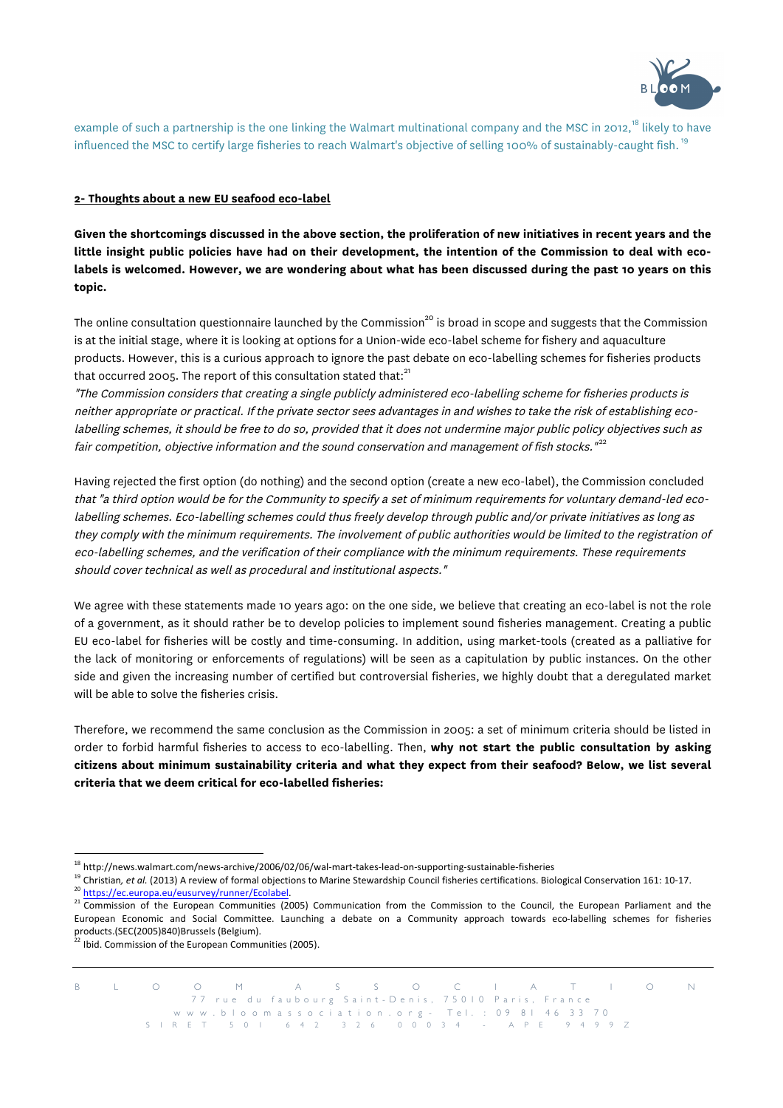

example of such a partnership is the one linking the Walmart multinational company and the MSC in 2012,<sup>18</sup> likely to have influenced the MSC to certify large fisheries to reach Walmart's objective of selling 100% of sustainably-caught fish.<sup>19</sup>

### **2- Thoughts about a new EU seafood eco-label**

**Given the shortcomings discussed in the above section, the proliferation of new initiatives in recent years and the little insight public policies have had on their development, the intention of the Commission to deal with ecolabels is welcomed. However, we are wondering about what has been discussed during the past 10 years on this topic.**

The online consultation questionnaire launched by the Commission<sup>20</sup> is broad in scope and suggests that the Commission is at the initial stage, where it is looking at options for a Union-wide eco-label scheme for fishery and aquaculture products. However, this is a curious approach to ignore the past debate on eco-labelling schemes for fisheries products that occurred 2005. The report of this consultation stated that: $^{21}$ 

"The Commission considers that creating a single publicly administered eco-labelling scheme for fisheries products is neither appropriate or practical. If the private sector sees advantages in and wishes to take the risk of establishing ecolabelling schemes, it should be free to do so, provided that it does not undermine major public policy objectives such as fair competition, objective information and the sound conservation and management of fish stocks."<sup>22</sup>

Having rejected the first option (do nothing) and the second option (create a new eco-label), the Commission concluded that "a third option would be for the Community to specify a set of minimum requirements for voluntary demand-led ecolabelling schemes. Eco-labelling schemes could thus freely develop through public and/or private initiatives as long as they comply with the minimum requirements. The involvement of public authorities would be limited to the registration of eco-labelling schemes, and the verification of their compliance with the minimum requirements. These requirements should cover technical as well as procedural and institutional aspects."

We agree with these statements made 10 years ago: on the one side, we believe that creating an eco-label is not the role of a government, as it should rather be to develop policies to implement sound fisheries management. Creating a public EU eco-label for fisheries will be costly and time-consuming. In addition, using market-tools (created as a palliative for the lack of monitoring or enforcements of regulations) will be seen as a capitulation by public instances. On the other side and given the increasing number of certified but controversial fisheries, we highly doubt that a deregulated market will be able to solve the fisheries crisis.

Therefore, we recommend the same conclusion as the Commission in 2005: a set of minimum criteria should be listed in order to forbid harmful fisheries to access to eco-labelling. Then, **why not start the public consultation by asking citizens about minimum sustainability criteria and what they expect from their seafood? Below, we list several criteria that we deem critical for eco-labelled fisheries:**

l

<sup>&</sup>lt;sup>18</sup> http://news.walmart.com/news-archive/2006/02/06/wal-mart-takes-lead-on-supporting-sustainable-fisheries

<sup>19</sup> Christian, *et al.* (2013) A review of formal objections to Marine Stewardship Council fisheries certifications. Biological Conservation 161: 10-17.

<sup>20</sup> https://ec.europa.eu/eusurvey/runner/Ecolabel.

<sup>&</sup>lt;sup>21</sup> Commission of the European Communities (2005) Communication from the Commission to the Council, the European Parliament and the European Economic and Social Committee. Launching a debate on a Community approach towards eco-labelling schemes for fisheries products.(SEC(2005)840)Brussels (Belgium).

 $2<sup>2</sup>$  Ibid. Commission of the European Communities (2005).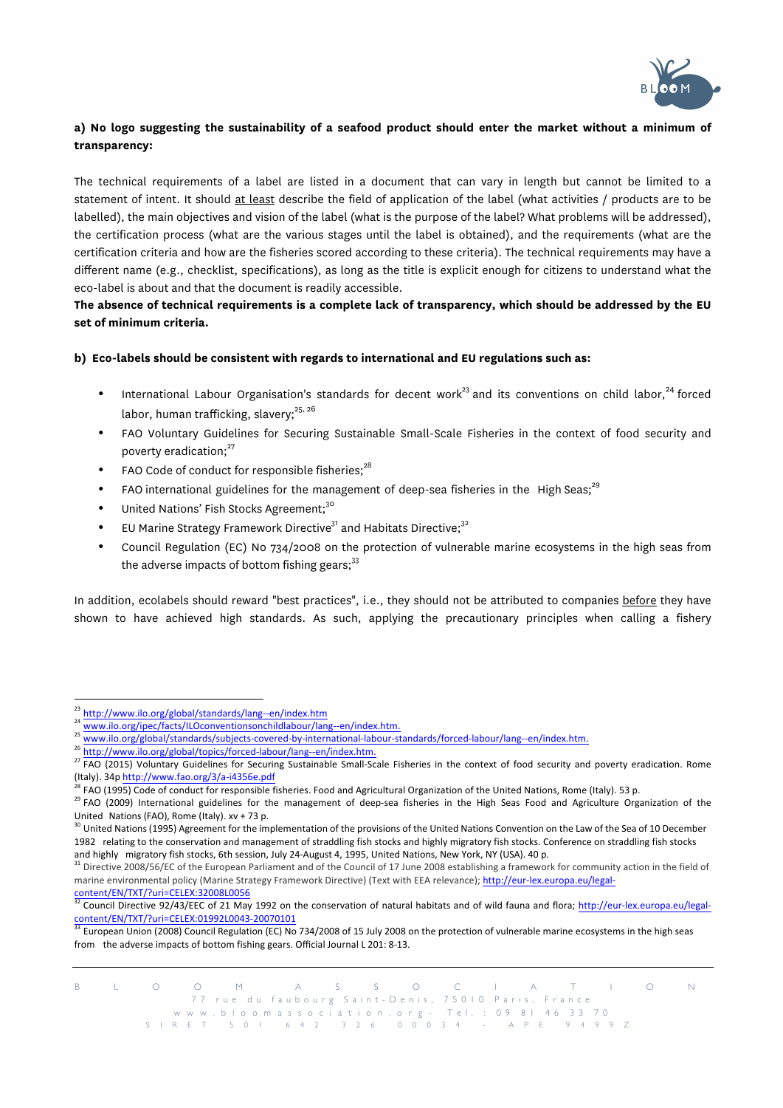

# **a) No logo suggesting the sustainability of a seafood product should enter the market without a minimum of transparency:**

The technical requirements of a label are listed in a document that can vary in length but cannot be limited to a statement of intent. It should at least describe the field of application of the label (what activities / products are to be labelled), the main objectives and vision of the label (what is the purpose of the label? What problems will be addressed), the certification process (what are the various stages until the label is obtained), and the requirements (what are the certification criteria and how are the fisheries scored according to these criteria). The technical requirements may have a different name (e.g., checklist, specifications), as long as the title is explicit enough for citizens to understand what the eco-label is about and that the document is readily accessible.

## **The absence of technical requirements is a complete lack of transparency, which should be addressed by the EU set of minimum criteria.**

### **b) Eco-labels should be consistent with regards to international and EU regulations such as:**

- International Labour Organisation's standards for decent work<sup>23</sup> and its conventions on child labor,  $24$  forced labor, human trafficking, slaverv: $25, 26$
- FAO Voluntary Guidelines for Securing Sustainable Small-Scale Fisheries in the context of food security and poverty eradication;<sup>27</sup>
- FAO Code of conduct for responsible fisheries;<sup>28</sup>
- FAO international guidelines for the management of deep-sea fisheries in the High Seas;<sup>29</sup>
- United Nations' Fish Stocks Agreement;<sup>30</sup>
- EU Marine Strategy Framework Directive<sup>31</sup> and Habitats Directive:<sup>32</sup>
- Council Regulation (EC) No 734/2008 on the protection of vulnerable marine ecosystems in the high seas from the adverse impacts of bottom fishing gears; $^{33}$

In addition, ecolabels should reward "best practices", i.e., they should not be attributed to companies before they have shown to have achieved high standards. As such, applying the precautionary principles when calling a fishery

 $\overline{a}$ 

<sup>26</sup> http://www.ilo.org/global/topics/forced-labour/lang--en/index.htm.

<sup>&</sup>lt;sup>23</sup> http://www.ilo.org/global/standards/lang--en/index.htm

<sup>&</sup>lt;sup>24</sup> www.ilo.org/ipec/facts/ILOconventionsonchildlabour/lang--en/index.htm.

<sup>25</sup> www.ilo.org/global/standards/subjects-covered-by-international-labour-standards/forced-labour/lang--en/index.htm.

<sup>&</sup>lt;sup>27</sup> FAO (2015) Voluntary Guidelines for Securing Sustainable Small-Scale Fisheries in the context of food security and poverty eradication. Rome (Italy). 34p http://www.fao.org/3/a-i4356e.pdf

 ${}^{8}$  FAO (1995) Code of conduct for responsible fisheries. Food and Agricultural Organization of the United Nations, Rome (Italy). 53 p.

<sup>&</sup>lt;sup>29</sup> FAO (2009) International guidelines for the management of deep-sea fisheries in the High Seas Food and Agriculture Organization of the United Nations (FAO), Rome (Italy),  $xy + 73$  p.

 $^{30}$  United Nations (1995) Agreement for the implementation of the provisions of the United Nations Convention on the Law of the Sea of 10 December 1982 relating to the conservation and management of straddling fish stocks and highly migratory fish stocks. Conference on straddling fish stocks and highly migratory fish stocks, 6th session, July 24-August 4, 1995, United Nations, New York, NY (USA). 40 p.

<sup>31</sup> Directive 2008/56/EC of the European Parliament and of the Council of 17 June 2008 establishing a framework for community action in the field of marine environmental policy (Marine Strategy Framework Directive) (Text with EEA relevance); http://eur-lex.europa.eu/legalcontent/EN/TXT/?uri=CELEX:32008L0056

Council Directive 92/43/EEC of 21 May 1992 on the conservation of natural habitats and of wild fauna and flora; http://eur-lex.europa.eu/legalcontent/EN/TXT/?uri=CELEX:01992L0043-20070101

European Union (2008) Council Regulation (EC) No 734/2008 of 15 July 2008 on the protection of vulnerable marine ecosystems in the high seas from the adverse impacts of bottom fishing gears. Official Journal L 201: 8-13.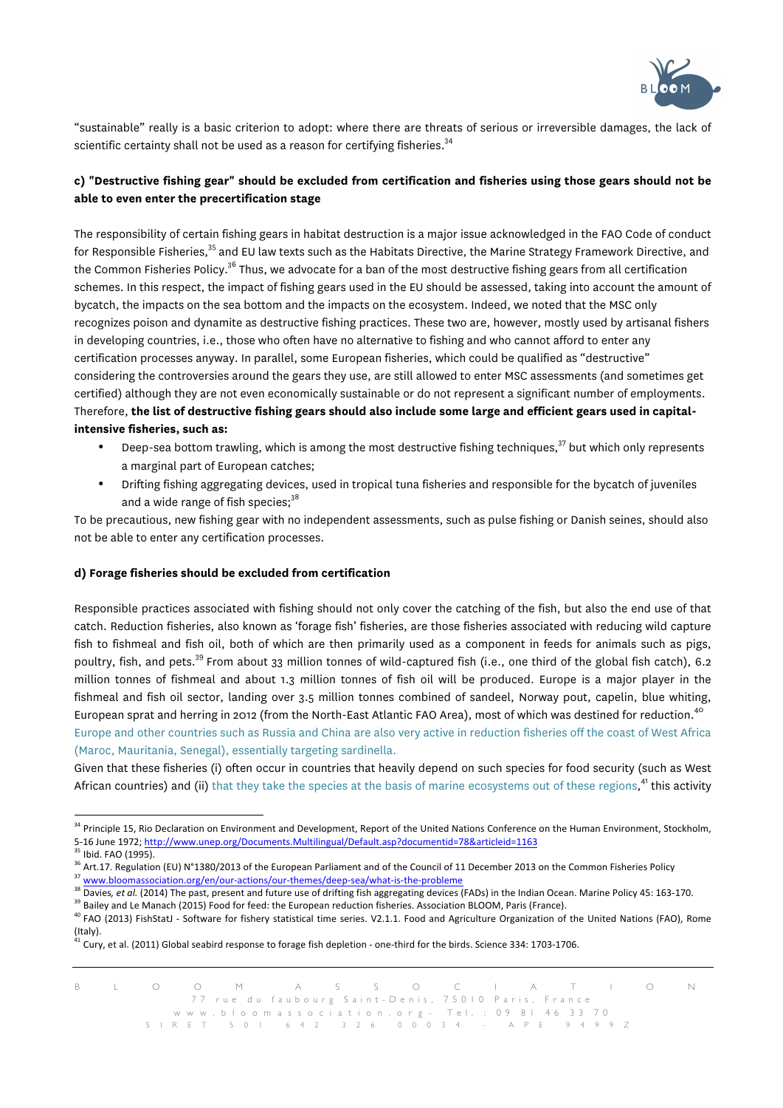

"sustainable" really is a basic criterion to adopt: where there are threats of serious or irreversible damages, the lack of scientific certainty shall not be used as a reason for certifying fisheries.<sup>34</sup>

# **c) "Destructive fishing gear" should be excluded from certification and fisheries using those gears should not be able to even enter the precertification stage**

The responsibility of certain fishing gears in habitat destruction is a major issue acknowledged in the FAO Code of conduct for Responsible Fisheries,<sup>35</sup> and EU law texts such as the Habitats Directive, the Marine Strategy Framework Directive, and the Common Fisheries Policy.<sup>36</sup> Thus, we advocate for a ban of the most destructive fishing gears from all certification schemes. In this respect, the impact of fishing gears used in the EU should be assessed, taking into account the amount of bycatch, the impacts on the sea bottom and the impacts on the ecosystem. Indeed, we noted that the MSC only recognizes poison and dynamite as destructive fishing practices. These two are, however, mostly used by artisanal fishers in developing countries, i.e., those who often have no alternative to fishing and who cannot afford to enter any certification processes anyway. In parallel, some European fisheries, which could be qualified as "destructive" considering the controversies around the gears they use, are still allowed to enter MSC assessments (and sometimes get certified) although they are not even economically sustainable or do not represent a significant number of employments. Therefore, **the list of destructive fishing gears should also include some large and efficient gears used in capitalintensive fisheries, such as:**

- Deep-sea bottom trawling, which is among the most destructive fishing techniques,<sup>37</sup> but which only represents a marginal part of European catches;
- Drifting fishing aggregating devices, used in tropical tuna fisheries and responsible for the bycatch of juveniles and a wide range of fish species;<sup>38</sup>

To be precautious, new fishing gear with no independent assessments, such as pulse fishing or Danish seines, should also not be able to enter any certification processes.

### **d) Forage fisheries should be excluded from certification**

Responsible practices associated with fishing should not only cover the catching of the fish, but also the end use of that catch. Reduction fisheries, also known as 'forage fish' fisheries, are those fisheries associated with reducing wild capture fish to fishmeal and fish oil, both of which are then primarily used as a component in feeds for animals such as pigs, poultry, fish, and pets.<sup>39</sup> From about 33 million tonnes of wild-captured fish (i.e., one third of the global fish catch), 6.2 million tonnes of fishmeal and about 1.3 million tonnes of fish oil will be produced. Europe is a major player in the fishmeal and fish oil sector, landing over 3.5 million tonnes combined of sandeel, Norway pout, capelin, blue whiting, European sprat and herring in 2012 (from the North-East Atlantic FAO Area), most of which was destined for reduction.<sup>40</sup> Europe and other countries such as Russia and China are also very active in reduction fisheries off the coast of West Africa (Maroc, Mauritania, Senegal), essentially targeting sardinella.

Given that these fisheries (i) often occur in countries that heavily depend on such species for food security (such as West African countries) and (ii) that they take the species at the basis of marine ecosystems out of these regions,<sup>41</sup> this activity

l

<sup>&</sup>lt;sup>34</sup> Principle 15. Rio Declaration on Environment and Development, Report of the United Nations Conference on the Human Environment, Stockholm, 5-16 June 1972; http://www.unep.org/Documents.Multilingual/Default.asp?documentid=78&articleid=1163

<sup>&</sup>lt;sup>35</sup> Ibid. FAO (1995).

<sup>&</sup>lt;sup>36</sup> Art.17. Regulation (EU) N°1380/2013 of the European Parliament and of the Council of 11 December 2013 on the Common Fisheries Policy

<sup>37</sup> www.bloomassociation.org/en/our-actions/our-themes/deep-sea/what-is-the-probleme

<sup>38</sup> Davies, et al. (2014) The past, present and future use of drifting fish aggregating devices (FADs) in the Indian Ocean. Marine Policy 45: 163-170.

<sup>&</sup>lt;sup>39</sup> Bailey and Le Manach (2015) Food for feed: the European reduction fisheries. Association BLOOM, Paris (France).

<sup>&</sup>lt;sup>40</sup> FAO (2013) FishStatJ - Software for fishery statistical time series. V2.1.1. Food and Agriculture Organization of the United Nations (FAO), Rome (Italy).

Cury, et al. (2011) Global seabird response to forage fish depletion - one-third for the birds. Science 334: 1703-1706.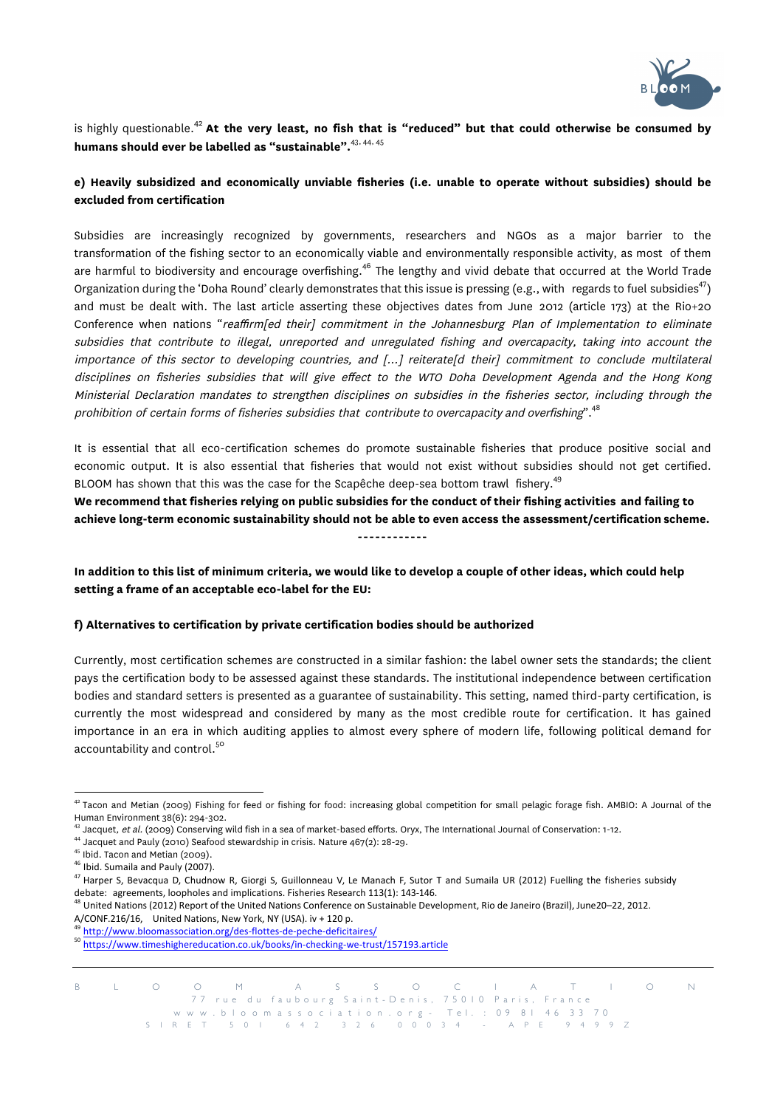

is highly questionable.<sup>42</sup> **At the very least, no fish that is "reduced" but that could otherwise be consumed by humans should ever be labelled as "sustainable".**43, 44, 45

# **e) Heavily subsidized and economically unviable fisheries (i.e. unable to operate without subsidies) should be excluded from certification**

Subsidies are increasingly recognized by governments, researchers and NGOs as a major barrier to the transformation of the fishing sector to an economically viable and environmentally responsible activity, as most of them are harmful to biodiversity and encourage overfishing.<sup>46</sup> The lengthy and vivid debate that occurred at the World Trade Organization during the 'Doha Round' clearly demonstrates that this issue is pressing (e.g., with regards to fuel subsidies<sup>47</sup>) and must be dealt with. The last article asserting these objectives dates from June 2012 (article 173) at the Rio+20 Conference when nations "reaffirm[ed their] commitment in the Johannesburg Plan of Implementation to eliminate subsidies that contribute to illegal, unreported and unregulated fishing and overcapacity, taking into account the importance of this sector to developing countries, and […] reiterate[d their] commitment to conclude multilateral disciplines on fisheries subsidies that will give effect to the WTO Doha Development Agenda and the Hong Kong Ministerial Declaration mandates to strengthen disciplines on subsidies in the fisheries sector, including through the prohibition of certain forms of fisheries subsidies that contribute to overcapacity and overfishing".<sup>48</sup>

It is essential that all eco-certification schemes do promote sustainable fisheries that produce positive social and economic output. It is also essential that fisheries that would not exist without subsidies should not get certified. BLOOM has shown that this was the case for the Scapêche deep-sea bottom trawl fishery.<sup>49</sup>

**We recommend that fisheries relying on public subsidies for the conduct of their fishing activities and failing to achieve long-term economic sustainability should not be able to even access the assessment/certification scheme.** ------------

**In addition to this list of minimum criteria, we would like to develop a couple of other ideas, which could help setting a frame of an acceptable eco-label for the EU:**

### **f) Alternatives to certification by private certification bodies should be authorized**

Currently, most certification schemes are constructed in a similar fashion: the label owner sets the standards; the client pays the certification body to be assessed against these standards. The institutional independence between certification bodies and standard setters is presented as a guarantee of sustainability. This setting, named third-party certification, is currently the most widespread and considered by many as the most credible route for certification. It has gained importance in an era in which auditing applies to almost every sphere of modern life, following political demand for accountability and control.<sup>50</sup>

48 United Nations (2012) Report of the United Nations Conference on Sustainable Development, Rio de Janeiro (Brazil), June20–22, 2012. A/CONF.216/16, United Nations, New York, NY (USA). iv + 120 p.

<sup>&</sup>lt;sup>42</sup> Tacon and Metian (2009) Fishing for feed or fishing for food: increasing global competition for small pelagic forage fish. AMBIO: A Journal of the Human Environment 38(6): 294-302.<br><sup>43</sup> Jacquet, *et al.* (2009) Conserving wild fish in a sea of market-based efforts. Oryx, The International Journal of Conservation: 1-12.<br><sup>44</sup> Jacquet and Pauly (2010) Seafood stewardshi

<sup>&</sup>lt;sup>46</sup> Ibid. Sumaila and Pauly (2007).

<sup>&</sup>lt;sup>47</sup> Harper S, Bevacqua D, Chudnow R, Giorgi S, Guillonneau V, Le Manach F, Sutor T and Sumaila UR (2012) Fuelling the fisheries subsidy debate: agreements, loopholes and implications. Fisheries Research 113(1): 143-146.

<sup>49</sup> http://www.bloomassociation.org/des-flottes-de-peche-deficitaires/

<sup>50</sup> https://www.timeshighereducation.co.uk/books/in-checking-we-trust/157193.article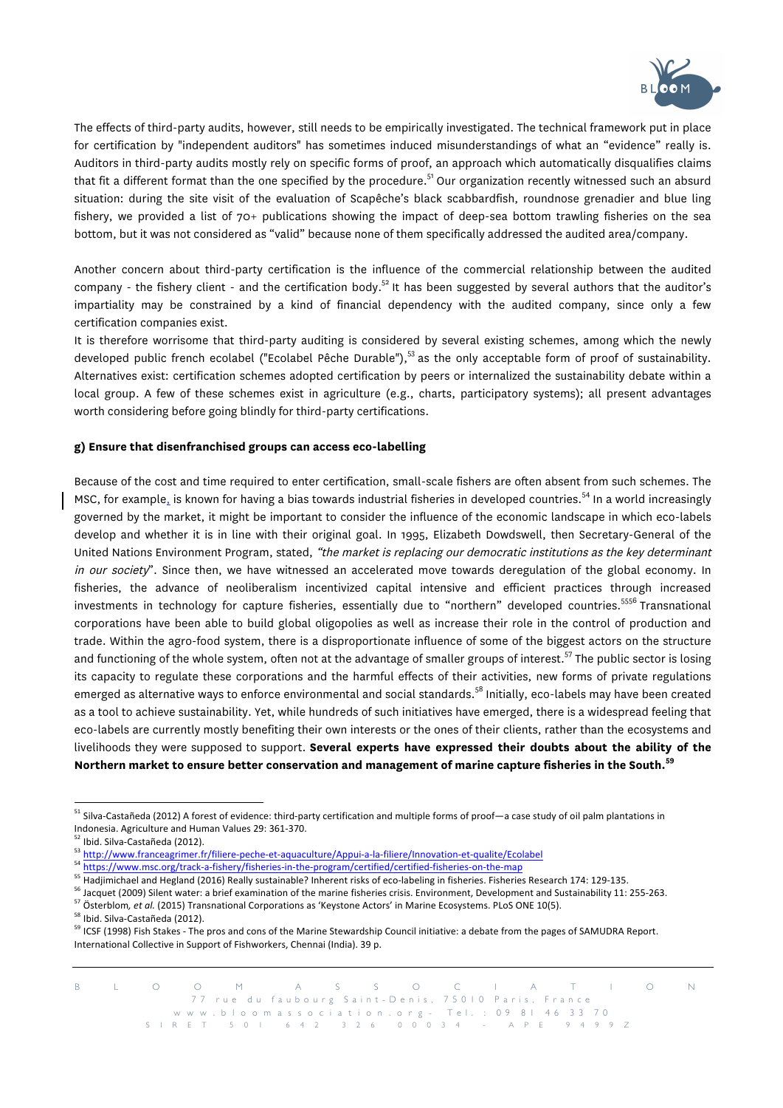

The effects of third-party audits, however, still needs to be empirically investigated. The technical framework put in place for certification by "independent auditors" has sometimes induced misunderstandings of what an "evidence" really is. Auditors in third-party audits mostly rely on specific forms of proof, an approach which automatically disqualifies claims that fit a different format than the one specified by the procedure.<sup>51</sup> Our organization recently witnessed such an absurd situation: during the site visit of the evaluation of Scapêche's black scabbardfish, roundnose grenadier and blue ling fishery, we provided a list of 70+ publications showing the impact of deep-sea bottom trawling fisheries on the sea bottom, but it was not considered as "valid" because none of them specifically addressed the audited area/company.

Another concern about third-party certification is the influence of the commercial relationship between the audited company - the fishery client - and the certification body.<sup>52</sup> It has been suggested by several authors that the auditor's impartiality may be constrained by a kind of financial dependency with the audited company, since only a few certification companies exist.

It is therefore worrisome that third-party auditing is considered by several existing schemes, among which the newly developed public french ecolabel ("Ecolabel Pêche Durable"),<sup>53</sup> as the only acceptable form of proof of sustainability. Alternatives exist: certification schemes adopted certification by peers or internalized the sustainability debate within a local group. A few of these schemes exist in agriculture (e.g., charts, participatory systems); all present advantages worth considering before going blindly for third-party certifications.

### **g) Ensure that disenfranchised groups can access eco-labelling**

Because of the cost and time required to enter certification, small-scale fishers are often absent from such schemes. The MSC, for example, is known for having a bias towards industrial fisheries in developed countries.<sup>54</sup> In a world increasingly governed by the market, it might be important to consider the influence of the economic landscape in which eco-labels develop and whether it is in line with their original goal. In 1995, Elizabeth Dowdswell, then Secretary-General of the United Nations Environment Program, stated, "the market is replacing our democratic institutions as the key determinant in our society". Since then, we have witnessed an accelerated move towards deregulation of the global economy. In fisheries, the advance of neoliberalism incentivized capital intensive and efficient practices through increased investments in technology for capture fisheries, essentially due to "northern" developed countries.<sup>5556</sup> Transnational corporations have been able to build global oligopolies as well as increase their role in the control of production and trade. Within the agro-food system, there is a disproportionate influence of some of the biggest actors on the structure and functioning of the whole system, often not at the advantage of smaller groups of interest.<sup>57</sup> The public sector is losing its capacity to regulate these corporations and the harmful effects of their activities, new forms of private regulations emerged as alternative ways to enforce environmental and social standards.<sup>58</sup> Initially, eco-labels may have been created as a tool to achieve sustainability. Yet, while hundreds of such initiatives have emerged, there is a widespread feeling that eco-labels are currently mostly benefiting their own interests or the ones of their clients, rather than the ecosystems and livelihoods they were supposed to support. **Several experts have expressed their doubts about the ability of the Northern market to ensure better conservation and management of marine capture fisheries in the South.<sup>59</sup>**

<sup>&</sup>lt;sup>51</sup> Silva-Castañeda (2012) A forest of evidence: third-party certification and multiple forms of proof—a case study of oil palm plantations in Indonesia. Agriculture and Human Values 29: 361-370.

<sup>&</sup>lt;sup>2</sup> Ibid. Silva-Castañeda (2012).

<sup>53</sup> http://www.franceagrimer.fr/filiere-peche-et-aquaculture/Appui-a-la-filiere/Innovation-et-qualite/Ecolabel

<sup>54</sup> https://www.msc.org/track-a-fishery/fisheries-in-the-program/certified/certified-fisheries-on-the-map

<sup>&</sup>lt;sup>55</sup> Hadjimichael and Hegland (2016) Really sustainable? Inherent risks of eco-labeling in fisheries. Fisheries Research 174: 129-135.

<sup>&</sup>lt;sup>56</sup> Jacquet (2009) Silent water: a brief examination of the marine fisheries crisis. Environment, Development and Sustainability 11: 255-263.

<sup>57</sup> Österblom, et al. (2015) Transnational Corporations as 'Keystone Actors' in Marine Ecosystems. PLoS ONE 10(5).

<sup>&</sup>lt;sup>58</sup> Ibid. Silva-Castañeda (2012).

<sup>&</sup>lt;sup>59</sup> ICSF (1998) Fish Stakes - The pros and cons of the Marine Stewardship Council initiative: a debate from the pages of SAMUDRA Report. International Collective in Support of Fishworkers, Chennai (India). 39 p.